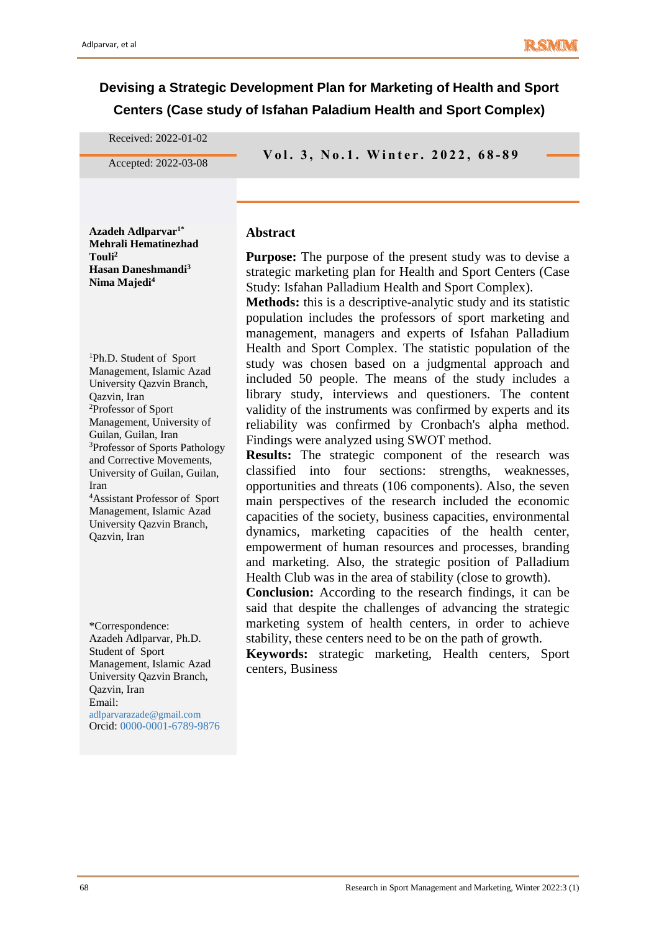# **Devising a Strategic Development Plan for Marketing of Health and Sport Centers (Case study of Isfahan Paladium Health and Sport Complex)**

Received: 2022-01-02

**V o l . 3 , N o . <sup>1</sup> . W i n t e r . 2 0 2 <sup>2</sup> , 6 8 - 8 9** Accepted: 2022-03-08

**Azadeh Adlparvar1\* Mehrali Hematinezhad Touli<sup>2</sup> Hasan Daneshmandi<sup>3</sup> Nima Majedi<sup>4</sup>**

<sup>1</sup>Ph.D. Student of Sport Management, Islamic Azad University Qazvin Branch, Qazvin, Iran <sup>2</sup>Professor of Sport Management, University of Guilan, Guilan, Iran <sup>3</sup>Professor of Sports Pathology and Corrective Movements, University of Guilan, Guilan, Iran <sup>4</sup>Assistant Professor of Sport

Management, Islamic Azad University Qazvin Branch, Qazvin, Iran

\*Correspondence: Azadeh Adlparvar, Ph.D. Student of Sport Management, Islamic Azad University Qazvin Branch, Qazvin, Iran Email: adlparvarazade@gmail.com Orcid: 0000-0001-6789-9876 **Abstract**

**Purpose:** The purpose of the present study was to devise a strategic marketing plan for Health and Sport Centers (Case Study: Isfahan Palladium Health and Sport Complex).

**Methods:** this is a descriptive-analytic study and its statistic population includes the professors of sport marketing and management, managers and experts of Isfahan Palladium Health and Sport Complex. The statistic population of the study was chosen based on a judgmental approach and included 50 people. The means of the study includes a library study, interviews and questioners. The content validity of the instruments was confirmed by experts and its reliability was confirmed by Cronbach's alpha method. Findings were analyzed using SWOT method.

**Results:** The strategic component of the research was classified into four sections: strengths, weaknesses, opportunities and threats (106 components). Also, the seven main perspectives of the research included the economic capacities of the society, business capacities, environmental dynamics, marketing capacities of the health center, empowerment of human resources and processes, branding and marketing. Also, the strategic position of Palladium Health Club was in the area of stability (close to growth).

**Conclusion:** According to the research findings, it can be said that despite the challenges of advancing the strategic marketing system of health centers, in order to achieve stability, these centers need to be on the path of growth.

**Keywords:** strategic marketing, Health centers, Sport centers, Business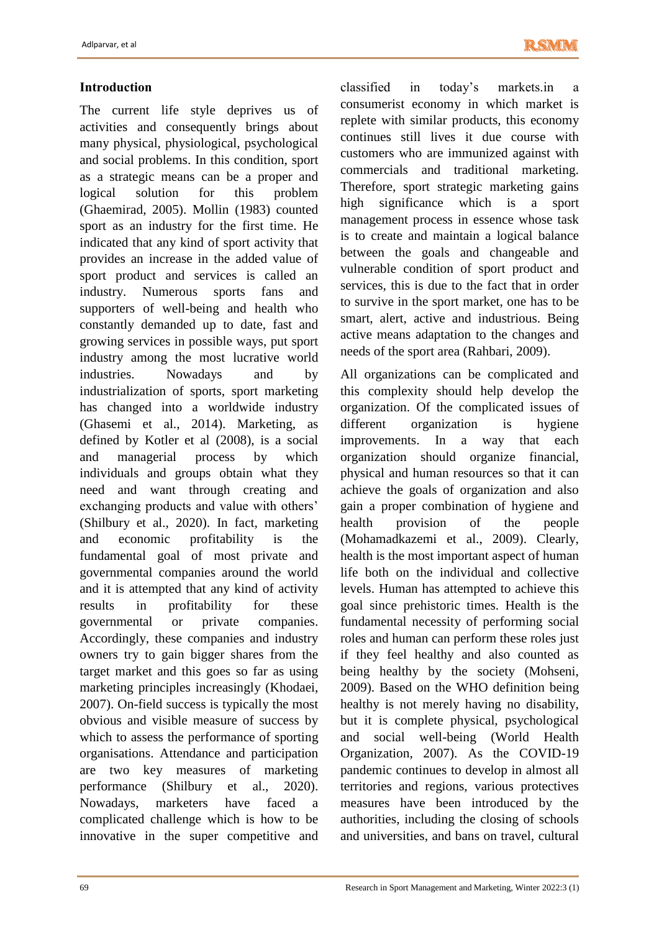# **Introduction**

The current life style deprives us of activities and consequently brings about many physical, physiological, psychological and social problems. In this condition, sport as a strategic means can be a proper and logical solution for this problem (Ghaemirad, 2005). Mollin (1983) counted sport as an industry for the first time. He indicated that any kind of sport activity that provides an increase in the added value of sport product and services is called an industry. Numerous sports fans and supporters of well-being and health who constantly demanded up to date, fast and growing services in possible ways, put sport industry among the most lucrative world industries. Nowadays and by industrialization of sports, sport marketing has changed into a worldwide industry (Ghasemi et al., 2014). Marketing, as defined by Kotler et al (2008), is a social and managerial process by which individuals and groups obtain what they need and want through creating and exchanging products and value with others' (Shilbury et al., 2020). In fact, marketing and economic profitability is the fundamental goal of most private and governmental companies around the world and it is attempted that any kind of activity results in profitability for these governmental or private companies. Accordingly, these companies and industry owners try to gain bigger shares from the target market and this goes so far as using marketing principles increasingly (Khodaei, 2007). On-field success is typically the most obvious and visible measure of success by which to assess the performance of sporting organisations. Attendance and participation are two key measures of marketing performance (Shilbury et al., 2020). Nowadays, marketers have faced a complicated challenge which is how to be innovative in the super competitive and

classified in today's markets.in a consumerist economy in which market is replete with similar products, this economy continues still lives it due course with customers who are immunized against with commercials and traditional marketing. Therefore, sport strategic marketing gains high significance which is a sport management process in essence whose task is to create and maintain a logical balance between the goals and changeable and vulnerable condition of sport product and services, this is due to the fact that in order to survive in the sport market, one has to be smart, alert, active and industrious. Being active means adaptation to the changes and needs of the sport area (Rahbari, 2009).

All organizations can be complicated and this complexity should help develop the organization. Of the complicated issues of different organization is hygiene improvements. In a way that each organization should organize financial, physical and human resources so that it can achieve the goals of organization and also gain a proper combination of hygiene and health provision of the people (Mohamadkazemi et al., 2009). Clearly, health is the most important aspect of human life both on the individual and collective levels. Human has attempted to achieve this goal since prehistoric times. Health is the fundamental necessity of performing social roles and human can perform these roles just if they feel healthy and also counted as being healthy by the society (Mohseni, 2009). Based on the WHO definition being healthy is not merely having no disability, but it is complete physical, psychological and social well-being (World Health Organization, 2007). As the COVID-19 pandemic continues to develop in almost all territories and regions, various protectives measures have been introduced by the authorities, including the closing of schools and universities, and bans on travel, cultural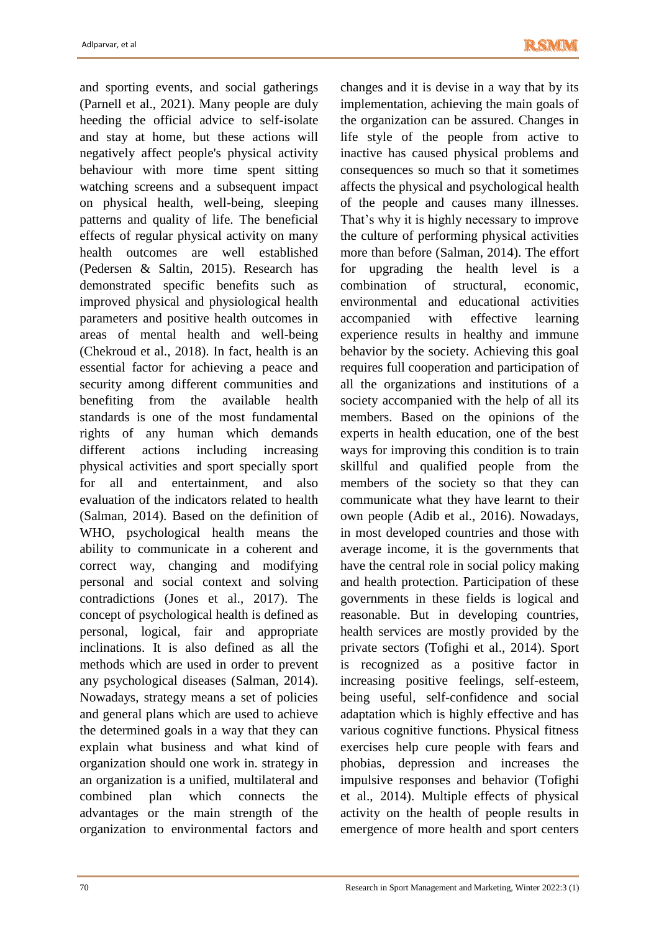and sporting events, and social gatherings (Parnell et al., 2021). Many people are duly heeding the official advice to self-isolate and stay at home, but these actions will negatively affect people's physical activity behaviour with more time spent sitting watching screens and a subsequent impact on physical health, well-being, sleeping patterns and quality of life. The beneficial effects of regular physical activity on many health outcomes are well established (Pedersen & Saltin, 2015). Research has demonstrated specific benefits such as improved physical and physiological health parameters and positive health outcomes in areas of mental health and well-being (Chekroud et al., 2018). In fact, health is an essential factor for achieving a peace and security among different communities and benefiting from the available health standards is one of the most fundamental rights of any human which demands different actions including increasing physical activities and sport specially sport for all and entertainment, and also evaluation of the indicators related to health (Salman, 2014). Based on the definition of WHO, psychological health means the ability to communicate in a coherent and correct way, changing and modifying personal and social context and solving contradictions (Jones et al., 2017). The concept of psychological health is defined as personal, logical, fair and appropriate inclinations. It is also defined as all the methods which are used in order to prevent any psychological diseases (Salman, 2014). Nowadays, strategy means a set of policies and general plans which are used to achieve the determined goals in a way that they can explain what business and what kind of organization should one work in. strategy in an organization is a unified, multilateral and combined plan which connects the advantages or the main strength of the organization to environmental factors and

changes and it is devise in a way that by its implementation, achieving the main goals of the organization can be assured. Changes in life style of the people from active to inactive has caused physical problems and consequences so much so that it sometimes affects the physical and psychological health of the people and causes many illnesses. That's why it is highly necessary to improve the culture of performing physical activities more than before (Salman, 2014). The effort for upgrading the health level is a combination of structural, economic, environmental and educational activities accompanied with effective learning experience results in healthy and immune behavior by the society. Achieving this goal requires full cooperation and participation of all the organizations and institutions of a society accompanied with the help of all its members. Based on the opinions of the experts in health education, one of the best ways for improving this condition is to train skillful and qualified people from the members of the society so that they can communicate what they have learnt to their own people (Adib et al., 2016). Nowadays, in most developed countries and those with average income, it is the governments that have the central role in social policy making and health protection. Participation of these governments in these fields is logical and reasonable. But in developing countries, health services are mostly provided by the private sectors (Tofighi et al., 2014). Sport is recognized as a positive factor in increasing positive feelings, self-esteem, being useful, self-confidence and social adaptation which is highly effective and has various cognitive functions. Physical fitness exercises help cure people with fears and phobias, depression and increases the impulsive responses and behavior (Tofighi et al., 2014). Multiple effects of physical activity on the health of people results in emergence of more health and sport centers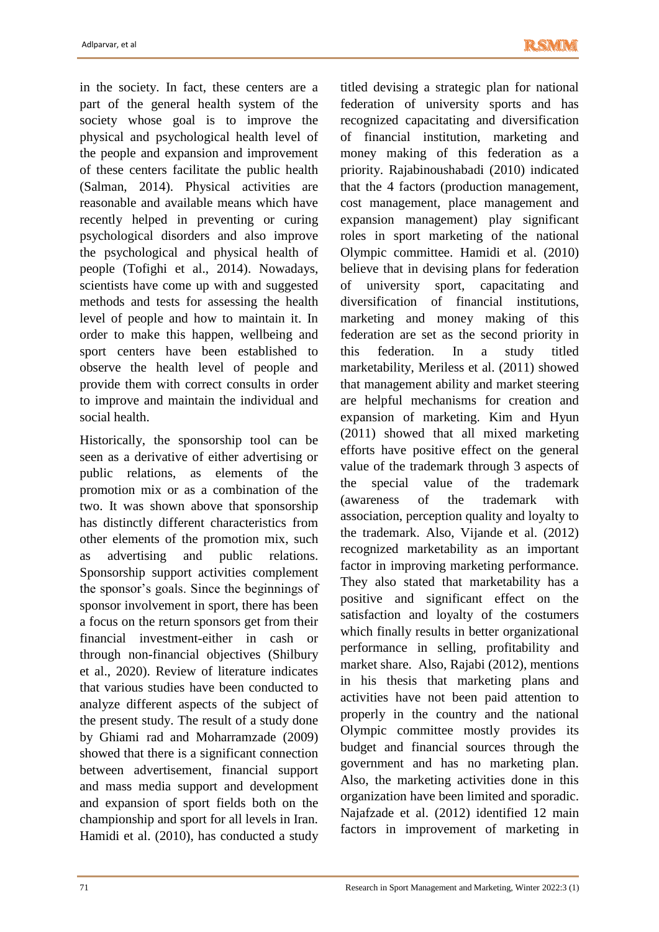in the society. In fact, these centers are a part of the general health system of the society whose goal is to improve the physical and psychological health level of the people and expansion and improvement of these centers facilitate the public health (Salman, 2014). Physical activities are reasonable and available means which have recently helped in preventing or curing psychological disorders and also improve the psychological and physical health of people (Tofighi et al., 2014). Nowadays, scientists have come up with and suggested methods and tests for assessing the health level of people and how to maintain it. In order to make this happen, wellbeing and sport centers have been established to observe the health level of people and provide them with correct consults in order to improve and maintain the individual and social health.

Historically, the sponsorship tool can be seen as a derivative of either advertising or public relations, as elements of the promotion mix or as a combination of the two. It was shown above that sponsorship has distinctly different characteristics from other elements of the promotion mix, such as advertising and public relations. Sponsorship support activities complement the sponsor's goals. Since the beginnings of sponsor involvement in sport, there has been a focus on the return sponsors get from their financial investment-either in cash or through non-financial objectives (Shilbury et al., 2020). Review of literature indicates that various studies have been conducted to analyze different aspects of the subject of the present study. The result of a study done by Ghiami rad and Moharramzade (2009) showed that there is a significant connection between advertisement, financial support and mass media support and development and expansion of sport fields both on the championship and sport for all levels in Iran. Hamidi et al. (2010), has conducted a study titled devising a strategic plan for national federation of university sports and has recognized capacitating and diversification of financial institution, marketing and money making of this federation as a priority. Rajabinoushabadi (2010) indicated that the 4 factors (production management, cost management, place management and expansion management) play significant roles in sport marketing of the national Olympic committee. Hamidi et al. (2010) believe that in devising plans for federation of university sport, capacitating and diversification of financial institutions, marketing and money making of this federation are set as the second priority in this federation. In a study titled marketability, Meriless et al. (2011) showed that management ability and market steering are helpful mechanisms for creation and expansion of marketing. Kim and Hyun (2011) showed that all mixed marketing efforts have positive effect on the general value of the trademark through 3 aspects of the special value of the trademark (awareness of the trademark with association, perception quality and loyalty to the trademark. Also, Vijande et al. (2012) recognized marketability as an important factor in improving marketing performance. They also stated that marketability has a positive and significant effect on the satisfaction and loyalty of the costumers which finally results in better organizational performance in selling, profitability and market share. Also, Rajabi (2012), mentions in his thesis that marketing plans and activities have not been paid attention to properly in the country and the national Olympic committee mostly provides its budget and financial sources through the government and has no marketing plan. Also, the marketing activities done in this organization have been limited and sporadic. Najafzade et al. (2012) identified 12 main factors in improvement of marketing in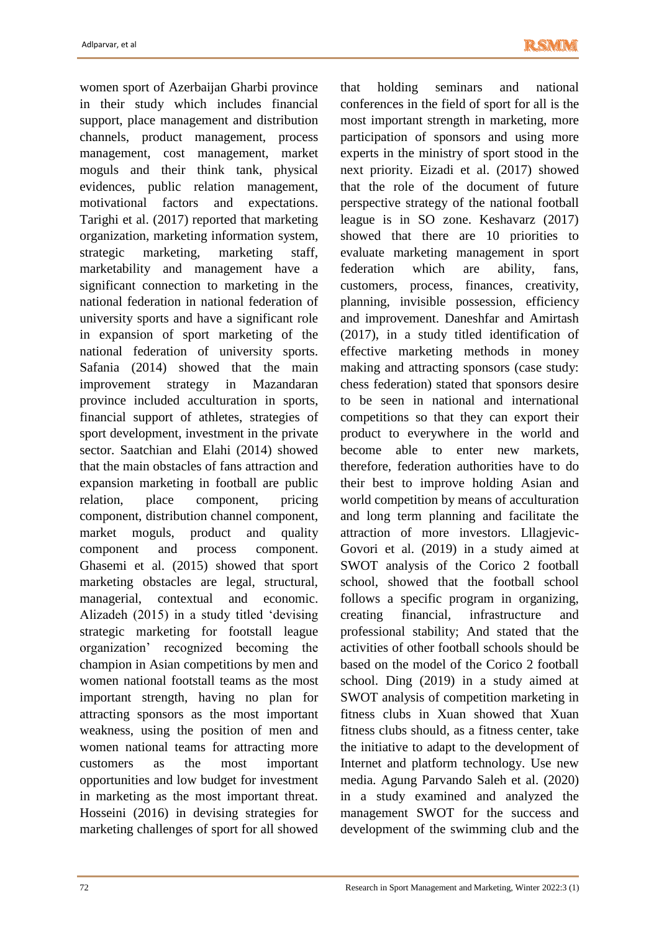women sport of Azerbaijan Gharbi province in their study which includes financial support, place management and distribution channels, product management, process management, cost management, market moguls and their think tank, physical evidences, public relation management, motivational factors and expectations. Tarighi et al. (2017) reported that marketing organization, marketing information system, strategic marketing, marketing staff, marketability and management have a significant connection to marketing in the national federation in national federation of university sports and have a significant role in expansion of sport marketing of the national federation of university sports. Safania (2014) showed that the main improvement strategy in Mazandaran province included acculturation in sports, financial support of athletes, strategies of sport development, investment in the private sector. Saatchian and Elahi (2014) showed that the main obstacles of fans attraction and expansion marketing in football are public relation, place component, pricing component, distribution channel component, market moguls, product and quality component and process component. Ghasemi et al. (2015) showed that sport marketing obstacles are legal, structural, managerial, contextual and economic. Alizadeh (2015) in a study titled 'devising strategic marketing for footstall league organization' recognized becoming the champion in Asian competitions by men and women national footstall teams as the most important strength, having no plan for attracting sponsors as the most important weakness, using the position of men and women national teams for attracting more customers as the most important opportunities and low budget for investment in marketing as the most important threat. Hosseini (2016) in devising strategies for marketing challenges of sport for all showed that holding seminars and national conferences in the field of sport for all is the most important strength in marketing, more participation of sponsors and using more experts in the ministry of sport stood in the next priority. Eizadi et al. (2017) showed that the role of the document of future perspective strategy of the national football league is in SO zone. Keshavarz (2017) showed that there are 10 priorities to evaluate marketing management in sport federation which are ability, fans, customers, process, finances, creativity, planning, invisible possession, efficiency and improvement. Daneshfar and Amirtash (2017), in a study titled identification of effective marketing methods in money making and attracting sponsors (case study: chess federation) stated that sponsors desire to be seen in national and international competitions so that they can export their product to everywhere in the world and become able to enter new markets, therefore, federation authorities have to do their best to improve holding Asian and world competition by means of acculturation and long term planning and facilitate the attraction of more investors. Lllagjevic-Govori et al. (2019) in a study aimed at SWOT analysis of the Corico 2 football school, showed that the football school follows a specific program in organizing, creating financial, infrastructure and professional stability; And stated that the activities of other football schools should be based on the model of the Corico 2 football school. Ding (2019) in a study aimed at SWOT analysis of competition marketing in fitness clubs in Xuan showed that Xuan fitness clubs should, as a fitness center, take the initiative to adapt to the development of Internet and platform technology. Use new media. Agung Parvando Saleh et al. (2020) in a study examined and analyzed the management SWOT for the success and development of the swimming club and the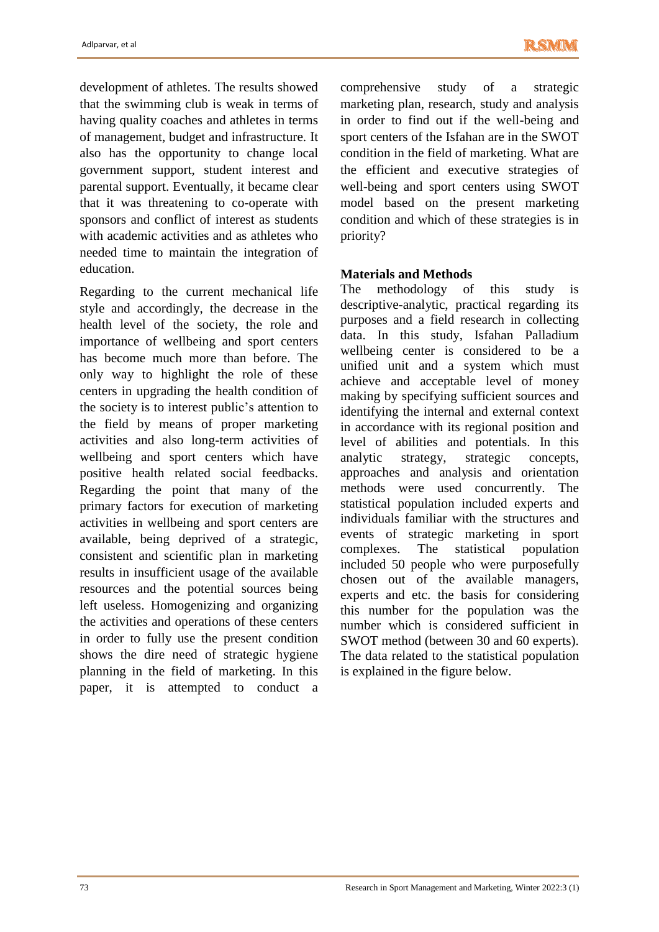development of athletes. The results showed that the swimming club is weak in terms of having quality coaches and athletes in terms of management, budget and infrastructure. It also has the opportunity to change local government support, student interest and parental support. Eventually, it became clear that it was threatening to co-operate with sponsors and conflict of interest as students with academic activities and as athletes who needed time to maintain the integration of education.

Regarding to the current mechanical life style and accordingly, the decrease in the health level of the society, the role and importance of wellbeing and sport centers has become much more than before. The only way to highlight the role of these centers in upgrading the health condition of the society is to interest public's attention to the field by means of proper marketing activities and also long-term activities of wellbeing and sport centers which have positive health related social feedbacks. Regarding the point that many of the primary factors for execution of marketing activities in wellbeing and sport centers are available, being deprived of a strategic, consistent and scientific plan in marketing results in insufficient usage of the available resources and the potential sources being left useless. Homogenizing and organizing the activities and operations of these centers in order to fully use the present condition shows the dire need of strategic hygiene planning in the field of marketing. In this paper, it is attempted to conduct a comprehensive study of a strategic marketing plan, research, study and analysis in order to find out if the well-being and sport centers of the Isfahan are in the SWOT condition in the field of marketing. What are the efficient and executive strategies of well-being and sport centers using SWOT model based on the present marketing condition and which of these strategies is in priority?

## **Materials and Methods**

The methodology of this study is descriptive-analytic, practical regarding its purposes and a field research in collecting data. In this study, Isfahan Palladium wellbeing center is considered to be a unified unit and a system which must achieve and acceptable level of money making by specifying sufficient sources and identifying the internal and external context in accordance with its regional position and level of abilities and potentials. In this analytic strategy, strategic concepts, approaches and analysis and orientation methods were used concurrently. The statistical population included experts and individuals familiar with the structures and events of strategic marketing in sport complexes. The statistical population included 50 people who were purposefully chosen out of the available managers, experts and etc. the basis for considering this number for the population was the number which is considered sufficient in SWOT method (between 30 and 60 experts). The data related to the statistical population is explained in the figure below.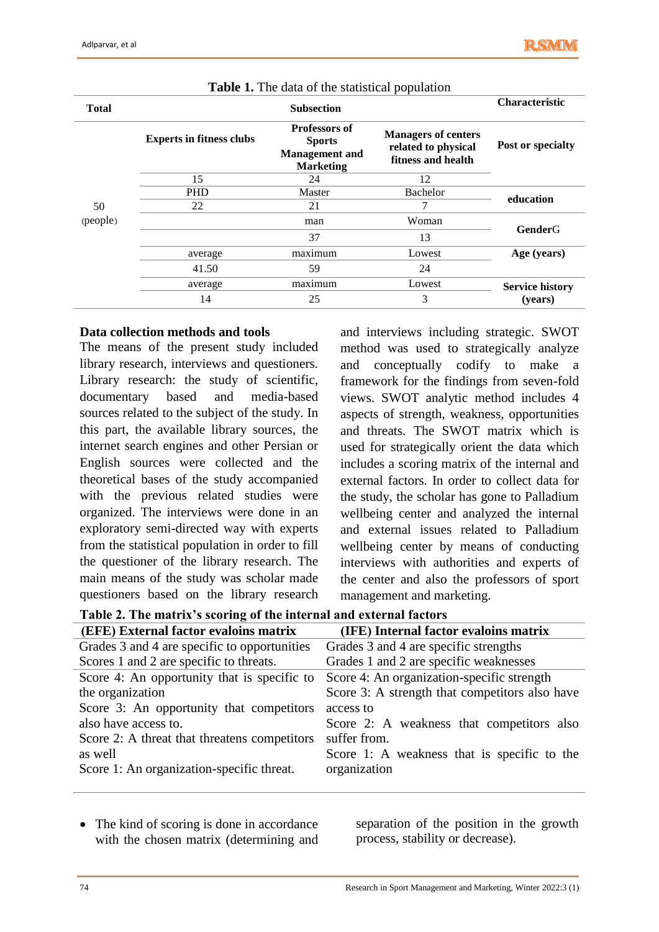| <b>Total</b>   |                                 | <b>Characteristic</b>                                                              |                                                                         |                        |  |
|----------------|---------------------------------|------------------------------------------------------------------------------------|-------------------------------------------------------------------------|------------------------|--|
|                | <b>Experts in fitness clubs</b> | <b>Professors of</b><br><b>Sports</b><br><b>Management</b> and<br><b>Marketing</b> | <b>Managers of centers</b><br>related to physical<br>fitness and health | Post or specialty      |  |
|                | 15                              | 24                                                                                 | 12                                                                      |                        |  |
|                | <b>PHD</b>                      | Master                                                                             | Bachelor                                                                |                        |  |
| 50<br>(people) | 22                              | 21                                                                                 |                                                                         | education              |  |
|                |                                 | man                                                                                | Woman                                                                   | <b>GenderG</b>         |  |
|                |                                 | 37                                                                                 | 13                                                                      |                        |  |
|                | average                         | maximum                                                                            | Lowest                                                                  | Age (years)            |  |
|                | 41.50                           | 59                                                                                 | 24                                                                      |                        |  |
|                | average                         | maximum                                                                            | Lowest                                                                  | <b>Service history</b> |  |
|                | 14                              | 25                                                                                 | 3                                                                       | (years)                |  |

| Table 1. The data of the statistical population |  |  |
|-------------------------------------------------|--|--|
|-------------------------------------------------|--|--|

#### **Data collection methods and tools**

The means of the present study included library research, interviews and questioners. Library research: the study of scientific, documentary based and media-based sources related to the subject of the study. In this part, the available library sources, the internet search engines and other Persian or English sources were collected and the theoretical bases of the study accompanied with the previous related studies were organized. The interviews were done in an exploratory semi-directed way with experts from the statistical population in order to fill the questioner of the library research. The main means of the study was scholar made questioners based on the library research

and interviews including strategic. SWOT method was used to strategically analyze and conceptually codify to make a framework for the findings from seven-fold views. SWOT analytic method includes 4 aspects of strength, weakness, opportunities and threats. The SWOT matrix which is used for strategically orient the data which includes a scoring matrix of the internal and external factors. In order to collect data for the study, the scholar has gone to Palladium wellbeing center and analyzed the internal and external issues related to Palladium wellbeing center by means of conducting interviews with authorities and experts of the center and also the professors of sport management and marketing.

**Table 2. The matrix's scoring of the internal and external factors** 

| (EFE) External factor evaloins matrix        | (IFE) Internal factor evaloins matrix          |
|----------------------------------------------|------------------------------------------------|
| Grades 3 and 4 are specific to opportunities | Grades 3 and 4 are specific strengths          |
| Scores 1 and 2 are specific to threats.      | Grades 1 and 2 are specific weaknesses         |
| Score 4: An opportunity that is specific to  | Score 4: An organization-specific strength     |
| the organization                             | Score 3: A strength that competitors also have |
| Score 3: An opportunity that competitors     | access to                                      |
| also have access to.                         | Score 2: A weakness that competitors also      |
| Score 2: A threat that threatens competitors | suffer from.                                   |
| as well                                      | Score 1: A weakness that is specific to the    |
| Score 1: An organization-specific threat.    | organization                                   |
|                                              |                                                |

• The kind of scoring is done in accordance with the chosen matrix (determining and separation of the position in the growth process, stability or decrease).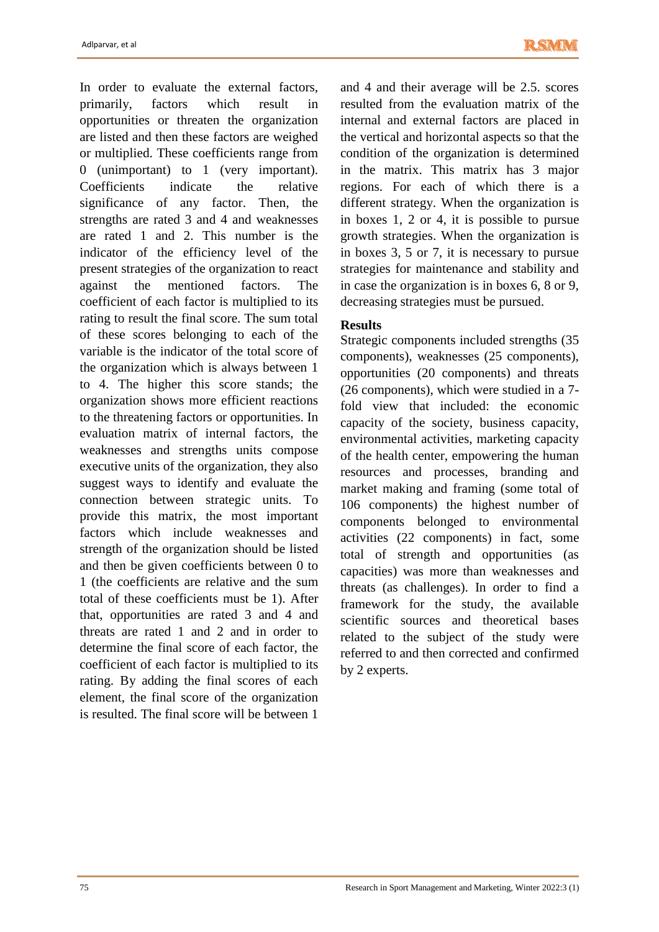In order to evaluate the external factors, primarily, factors which result in opportunities or threaten the organization are listed and then these factors are weighed or multiplied. These coefficients range from 0 (unimportant) to 1 (very important). Coefficients indicate the relative significance of any factor. Then, the strengths are rated 3 and 4 and weaknesses are rated 1 and 2. This number is the indicator of the efficiency level of the present strategies of the organization to react against the mentioned factors. The coefficient of each factor is multiplied to its rating to result the final score. The sum total of these scores belonging to each of the variable is the indicator of the total score of the organization which is always between 1 to 4. The higher this score stands; the organization shows more efficient reactions to the threatening factors or opportunities. In evaluation matrix of internal factors, the weaknesses and strengths units compose executive units of the organization, they also suggest ways to identify and evaluate the connection between strategic units. To provide this matrix, the most important factors which include weaknesses and strength of the organization should be listed and then be given coefficients between 0 to 1 (the coefficients are relative and the sum total of these coefficients must be 1). After that, opportunities are rated 3 and 4 and threats are rated 1 and 2 and in order to determine the final score of each factor, the coefficient of each factor is multiplied to its rating. By adding the final scores of each element, the final score of the organization is resulted. The final score will be between 1

and 4 and their average will be 2.5. scores resulted from the evaluation matrix of the internal and external factors are placed in the vertical and horizontal aspects so that the condition of the organization is determined in the matrix. This matrix has 3 major regions. For each of which there is a different strategy. When the organization is in boxes 1, 2 or 4, it is possible to pursue growth strategies. When the organization is in boxes 3, 5 or 7, it is necessary to pursue strategies for maintenance and stability and in case the organization is in boxes 6, 8 or 9, decreasing strategies must be pursued.

## **Results**

Strategic components included strengths (35 components), weaknesses (25 components), opportunities (20 components) and threats (26 components), which were studied in a 7 fold view that included: the economic capacity of the society, business capacity, environmental activities, marketing capacity of the health center, empowering the human resources and processes, branding and market making and framing (some total of 106 components) the highest number of components belonged to environmental activities (22 components) in fact, some total of strength and opportunities (as capacities) was more than weaknesses and threats (as challenges). In order to find a framework for the study, the available scientific sources and theoretical bases related to the subject of the study were referred to and then corrected and confirmed by 2 experts.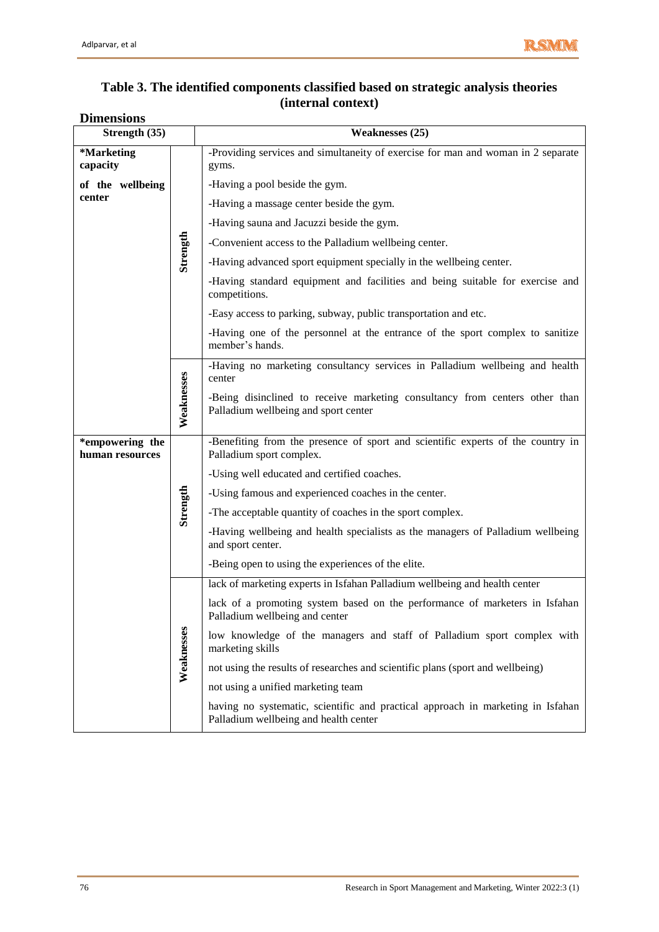#### **Table 3. The identified components classified based on strategic analysis theories (internal context) Dimensions**

| Strength (35)                      |            | <b>Weaknesses (25)</b>                                                                                                   |
|------------------------------------|------------|--------------------------------------------------------------------------------------------------------------------------|
| *Marketing<br>capacity             |            | -Providing services and simultaneity of exercise for man and woman in 2 separate<br>gyms.                                |
| of the wellbeing                   |            | -Having a pool beside the gym.                                                                                           |
| center                             |            | -Having a massage center beside the gym.                                                                                 |
|                                    |            | -Having sauna and Jacuzzi beside the gym.                                                                                |
|                                    |            | -Convenient access to the Palladium wellbeing center.                                                                    |
|                                    | Strength   | -Having advanced sport equipment specially in the wellbeing center.                                                      |
|                                    |            | -Having standard equipment and facilities and being suitable for exercise and<br>competitions.                           |
|                                    |            | -Easy access to parking, subway, public transportation and etc.                                                          |
|                                    |            | -Having one of the personnel at the entrance of the sport complex to sanitize<br>member's hands.                         |
|                                    |            | -Having no marketing consultancy services in Palladium wellbeing and health<br>center                                    |
|                                    | Weaknesses | -Being disinclined to receive marketing consultancy from centers other than<br>Palladium wellbeing and sport center      |
| *empowering the<br>human resources |            | -Benefiting from the presence of sport and scientific experts of the country in<br>Palladium sport complex.              |
|                                    |            | -Using well educated and certified coaches.                                                                              |
|                                    |            | -Using famous and experienced coaches in the center.                                                                     |
|                                    | Strength   | -The acceptable quantity of coaches in the sport complex.                                                                |
|                                    |            | -Having wellbeing and health specialists as the managers of Palladium wellbeing<br>and sport center.                     |
|                                    |            | -Being open to using the experiences of the elite.                                                                       |
|                                    |            | lack of marketing experts in Isfahan Palladium wellbeing and health center                                               |
|                                    |            | lack of a promoting system based on the performance of marketers in Isfahan<br>Palladium wellbeing and center            |
|                                    | Weaknesses | low knowledge of the managers and staff of Palladium sport complex with<br>marketing skills                              |
|                                    |            | not using the results of researches and scientific plans (sport and wellbeing)                                           |
|                                    |            | not using a unified marketing team                                                                                       |
|                                    |            | having no systematic, scientific and practical approach in marketing in Isfahan<br>Palladium wellbeing and health center |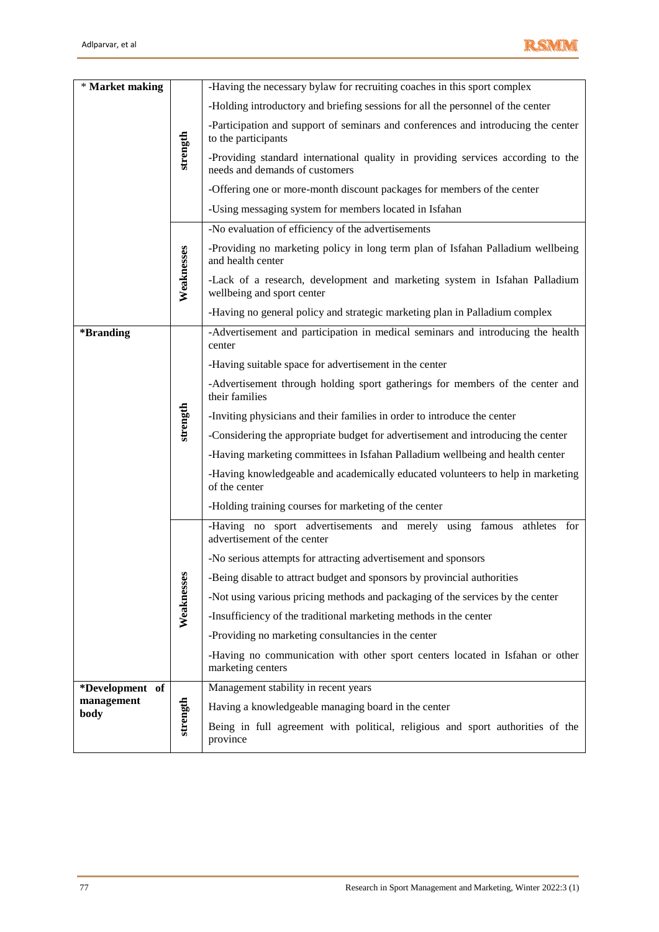

| * Market making    |            | -Having the necessary bylaw for recruiting coaches in this sport complex                                           |
|--------------------|------------|--------------------------------------------------------------------------------------------------------------------|
|                    |            | -Holding introductory and briefing sessions for all the personnel of the center                                    |
|                    |            | -Participation and support of seminars and conferences and introducing the center<br>to the participants           |
|                    | strength   | -Providing standard international quality in providing services according to the<br>needs and demands of customers |
|                    |            | -Offering one or more-month discount packages for members of the center                                            |
|                    |            | -Using messaging system for members located in Isfahan                                                             |
|                    |            | -No evaluation of efficiency of the advertisements                                                                 |
|                    |            | -Providing no marketing policy in long term plan of Isfahan Palladium wellbeing<br>and health center               |
|                    | Weaknesses | -Lack of a research, development and marketing system in Isfahan Palladium<br>wellbeing and sport center           |
|                    |            | -Having no general policy and strategic marketing plan in Palladium complex                                        |
| *Branding          |            | -Advertisement and participation in medical seminars and introducing the health<br>center                          |
|                    |            | -Having suitable space for advertisement in the center                                                             |
|                    |            | -Advertisement through holding sport gatherings for members of the center and<br>their families                    |
|                    | strength   | -Inviting physicians and their families in order to introduce the center                                           |
|                    |            | -Considering the appropriate budget for advertisement and introducing the center                                   |
|                    |            | -Having marketing committees in Isfahan Palladium wellbeing and health center                                      |
|                    |            | -Having knowledgeable and academically educated volunteers to help in marketing<br>of the center                   |
|                    |            | -Holding training courses for marketing of the center                                                              |
|                    |            | -Having no sport advertisements and merely using famous athletes for<br>advertisement of the center                |
|                    |            | -No serious attempts for attracting advertisement and sponsors                                                     |
|                    |            | -Being disable to attract budget and sponsors by provincial authorities                                            |
|                    |            | -Not using various pricing methods and packaging of the services by the center                                     |
|                    | Weaknesses | -Insufficiency of the traditional marketing methods in the center                                                  |
|                    |            | -Providing no marketing consultancies in the center                                                                |
|                    |            | -Having no communication with other sport centers located in Isfahan or other<br>marketing centers                 |
| *Development of    |            | Management stability in recent years                                                                               |
| management<br>body |            | Having a knowledgeable managing board in the center                                                                |
|                    | strength   | Being in full agreement with political, religious and sport authorities of the<br>province                         |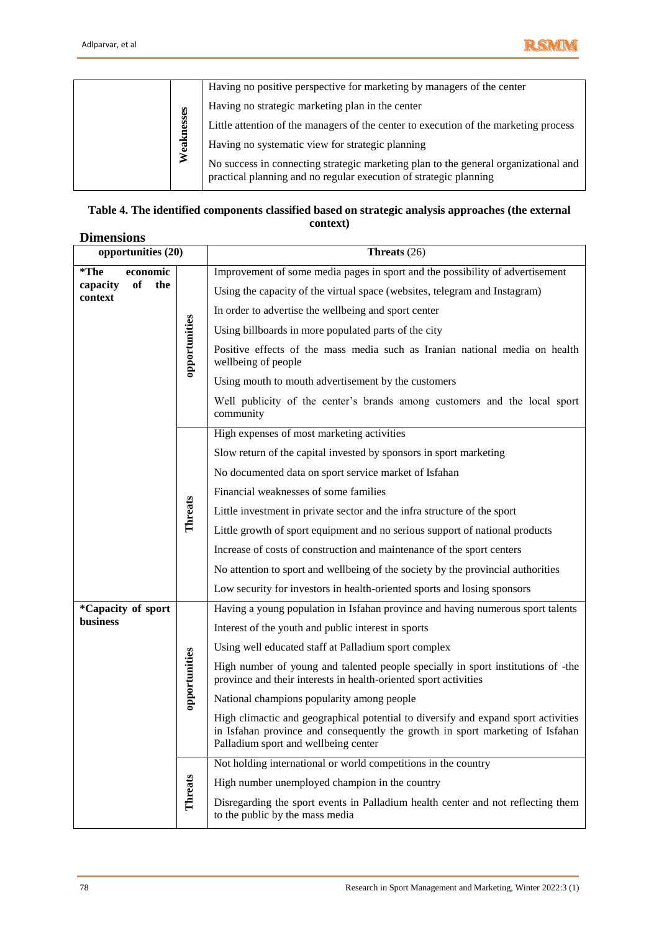

|            | Having no positive perspective for marketing by managers of the center                                                                                   |
|------------|----------------------------------------------------------------------------------------------------------------------------------------------------------|
|            | Having no strategic marketing plan in the center                                                                                                         |
| Weaknesses | Little attention of the managers of the center to execution of the marketing process                                                                     |
|            | Having no systematic view for strategic planning                                                                                                         |
|            | No success in connecting strategic marketing plan to the general organizational and<br>practical planning and no regular execution of strategic planning |

#### **Table 4. The identified components classified based on strategic analysis approaches (the external context)**

# **Dimensions**

|                                         | Weaknesses     | Little attention of the managers of the center to execution of the marketing process                                                                                                                        |
|-----------------------------------------|----------------|-------------------------------------------------------------------------------------------------------------------------------------------------------------------------------------------------------------|
|                                         |                |                                                                                                                                                                                                             |
|                                         |                | Having no systematic view for strategic planning                                                                                                                                                            |
|                                         |                | No success in connecting strategic marketing plan to the general organizational and<br>practical planning and no regular execution of strategic planning                                                    |
|                                         |                | Table 4. The identified components classified based on strategic analysis approaches (the external                                                                                                          |
|                                         |                | context)                                                                                                                                                                                                    |
| <b>Dimensions</b><br>opportunities (20) |                | Threats $(26)$                                                                                                                                                                                              |
| $*$ The<br>economic                     |                | Improvement of some media pages in sport and the possibility of advertisement                                                                                                                               |
| of<br>the<br>capacity                   |                | Using the capacity of the virtual space (websites, telegram and Instagram)                                                                                                                                  |
| context                                 |                |                                                                                                                                                                                                             |
|                                         |                | In order to advertise the wellbeing and sport center                                                                                                                                                        |
|                                         |                | Using billboards in more populated parts of the city                                                                                                                                                        |
|                                         | opportunities  | Positive effects of the mass media such as Iranian national media on health<br>wellbeing of people                                                                                                          |
|                                         |                | Using mouth to mouth advertisement by the customers                                                                                                                                                         |
|                                         |                | Well publicity of the center's brands among customers and the local sport<br>community                                                                                                                      |
|                                         |                | High expenses of most marketing activities                                                                                                                                                                  |
|                                         |                | Slow return of the capital invested by sponsors in sport marketing                                                                                                                                          |
|                                         |                | No documented data on sport service market of Isfahan                                                                                                                                                       |
|                                         |                | Financial weaknesses of some families                                                                                                                                                                       |
|                                         | <b>Threats</b> | Little investment in private sector and the infra structure of the sport                                                                                                                                    |
|                                         |                | Little growth of sport equipment and no serious support of national products                                                                                                                                |
|                                         |                | Increase of costs of construction and maintenance of the sport centers                                                                                                                                      |
|                                         |                | No attention to sport and wellbeing of the society by the provincial authorities                                                                                                                            |
|                                         |                | Low security for investors in health-oriented sports and losing sponsors                                                                                                                                    |
| *Capacity of sport                      |                | Having a young population in Isfahan province and having numerous sport talents                                                                                                                             |
| <b>business</b>                         |                | Interest of the youth and public interest in sports                                                                                                                                                         |
|                                         |                | Using well educated staff at Palladium sport complex                                                                                                                                                        |
|                                         | opportunities  | High number of young and talented people specially in sport institutions of -the<br>province and their interests in health-oriented sport activities                                                        |
|                                         |                | National champions popularity among people                                                                                                                                                                  |
|                                         |                | High climactic and geographical potential to diversify and expand sport activities<br>in Isfahan province and consequently the growth in sport marketing of Isfahan<br>Palladium sport and wellbeing center |
|                                         |                | Not holding international or world competitions in the country                                                                                                                                              |
|                                         | Threats        | High number unemployed champion in the country                                                                                                                                                              |
|                                         |                | Disregarding the sport events in Palladium health center and not reflecting them<br>to the public by the mass media                                                                                         |
| 78                                      |                | Research in Sport Management and Marketing, Winter 2022:3 (1)                                                                                                                                               |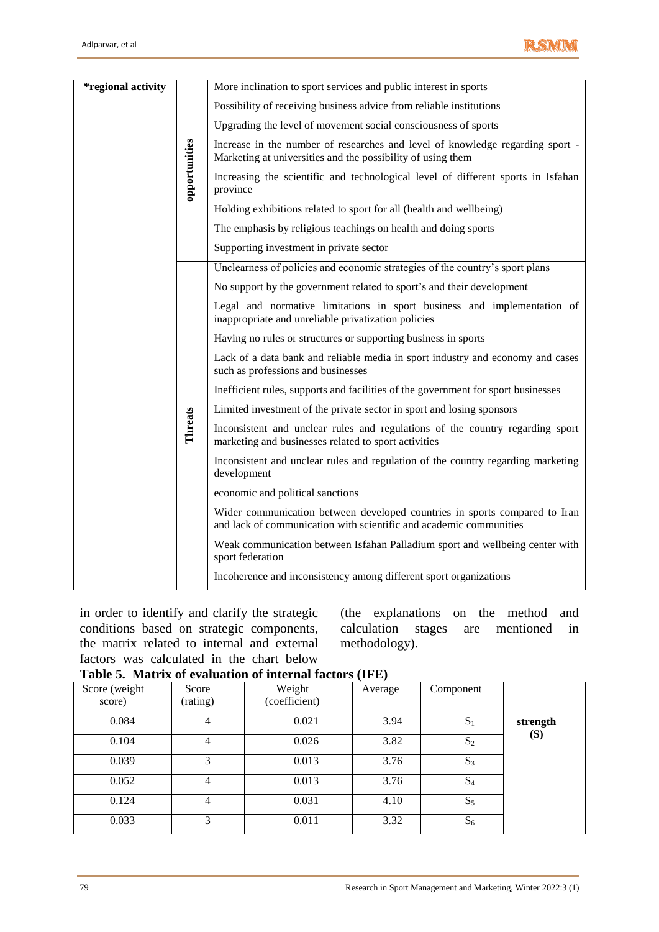

| <i>*regional activity</i> | opportunities | More inclination to sport services and public interest in sports                                                                                 |
|---------------------------|---------------|--------------------------------------------------------------------------------------------------------------------------------------------------|
|                           |               | Possibility of receiving business advice from reliable institutions                                                                              |
|                           |               | Upgrading the level of movement social consciousness of sports                                                                                   |
|                           |               | Increase in the number of researches and level of knowledge regarding sport -<br>Marketing at universities and the possibility of using them     |
|                           |               | Increasing the scientific and technological level of different sports in Isfahan<br>province                                                     |
|                           |               | Holding exhibitions related to sport for all (health and wellbeing)                                                                              |
|                           |               | The emphasis by religious teachings on health and doing sports                                                                                   |
|                           |               | Supporting investment in private sector                                                                                                          |
|                           |               | Unclearness of policies and economic strategies of the country's sport plans                                                                     |
|                           |               | No support by the government related to sport's and their development                                                                            |
|                           |               | Legal and normative limitations in sport business and implementation of<br>inappropriate and unreliable privatization policies                   |
|                           |               | Having no rules or structures or supporting business in sports                                                                                   |
|                           |               | Lack of a data bank and reliable media in sport industry and economy and cases<br>such as professions and businesses                             |
|                           |               | Inefficient rules, supports and facilities of the government for sport businesses                                                                |
|                           |               | Limited investment of the private sector in sport and losing sponsors                                                                            |
|                           | Threats       | Inconsistent and unclear rules and regulations of the country regarding sport<br>marketing and businesses related to sport activities            |
|                           |               | Inconsistent and unclear rules and regulation of the country regarding marketing<br>development                                                  |
|                           |               | economic and political sanctions                                                                                                                 |
|                           |               | Wider communication between developed countries in sports compared to Iran<br>and lack of communication with scientific and academic communities |
|                           |               | Weak communication between Isfahan Palladium sport and wellbeing center with<br>sport federation                                                 |
|                           |               | Incoherence and inconsistency among different sport organizations                                                                                |

in order to identify and clarify the strategic conditions based on strategic components, the matrix related to internal and external factors was calculated in the chart below

(the explanations on the method and calculation stages are mentioned in methodology).

## **Table 5. Matrix of evaluation of internal factors (IFE)**

|                         | $\cdots$          |                         |         |                |          |  |  |  |
|-------------------------|-------------------|-------------------------|---------|----------------|----------|--|--|--|
| Score (weight<br>score) | Score<br>(rating) | Weight<br>(coefficient) | Average | Component      |          |  |  |  |
| 0.084                   | 4                 | 0.021                   | 3.94    | $S_1$          | strength |  |  |  |
| 0.104                   | 4                 | 0.026                   | 3.82    | $S_2$          | (S)      |  |  |  |
| 0.039                   | 3                 | 0.013                   | 3.76    | $S_3$          |          |  |  |  |
| 0.052                   | 4                 | 0.013                   | 3.76    | S <sub>4</sub> |          |  |  |  |
| 0.124                   | 4                 | 0.031                   | 4.10    | $S_5$          |          |  |  |  |
| 0.033                   | 3                 | 0.011                   | 3.32    | $S_6$          |          |  |  |  |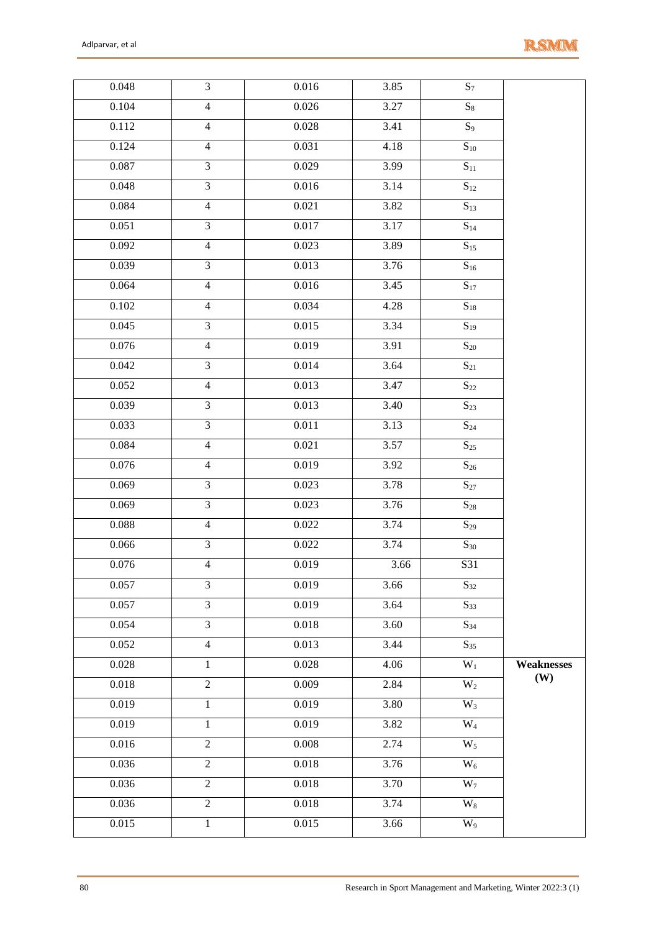

| 0.048 | $\overline{3}$ | 0.016     | 3.85                | $S_7$               |            |
|-------|----------------|-----------|---------------------|---------------------|------------|
| 0.104 | $\overline{4}$ | 0.026     | 3.27                | $S_8$               |            |
| 0.112 | $\overline{4}$ | 0.028     | 3.41                | $S_9$               |            |
| 0.124 | $\overline{4}$ | 0.031     | 4.18                | $S_{10}$            |            |
| 0.087 | $\overline{3}$ | 0.029     | 3.99                | $S_{11}$            |            |
| 0.048 | $\overline{3}$ | $0.016\,$ | 3.14                | $S_{12}$            |            |
| 0.084 | $\overline{4}$ | 0.021     | 3.82                | $\overline{S}_{13}$ |            |
| 0.051 | $\overline{3}$ | 0.017     | 3.17                | $\mathbf{S}_{14}$   |            |
| 0.092 | $\overline{4}$ | 0.023     | 3.89                | $\overline{S}_{15}$ |            |
| 0.039 | $\overline{3}$ | 0.013     | $\overline{3.76}$   | $S_{16}$            |            |
| 0.064 | $\overline{4}$ | 0.016     | 3.45                | $\mathbf{S}_{17}$   |            |
| 0.102 | $\overline{4}$ | 0.034     | 4.28                | $S_{18}$            |            |
| 0.045 | $\overline{3}$ | 0.015     | 3.34                | $S_{19}$            |            |
| 0.076 | $\overline{4}$ | 0.019     | 3.91                | $S_{20}$            |            |
| 0.042 | $\overline{3}$ | 0.014     | 3.64                | $\overline{S}_{21}$ |            |
| 0.052 | $\overline{4}$ | 0.013     | 3.47                | $S_{22}$            |            |
| 0.039 | $\overline{3}$ | 0.013     | 3.40                | $\overline{S}_{23}$ |            |
| 0.033 | $\overline{3}$ | $0.011\,$ | 3.13                | $\mathrm{S}_{24}$   |            |
| 0.084 | $\overline{4}$ | 0.021     | 3.57                | $\overline{S}_{25}$ |            |
| 0.076 | $\overline{4}$ | 0.019     | 3.92                | $\overline{S}_{26}$ |            |
| 0.069 | $\overline{3}$ | 0.023     | 3.78                | $\mathbf{S}_{27}$   |            |
| 0.069 | $\overline{3}$ | 0.023     | $\frac{1}{3.76}$    | $\overline{S}_{28}$ |            |
| 0.088 | $\overline{4}$ | 0.022     | 3.74                | $S_{29}$            |            |
| 0.066 | $\overline{3}$ | 0.022     | 3.74                | $S_{30}$            |            |
| 0.076 | $\overline{4}$ | 0.019     | $\frac{1}{3.66}$    | S31                 |            |
| 0.057 | $\overline{3}$ | 0.019     | 3.66                | $\overline{S}_{32}$ |            |
| 0.057 | $\overline{3}$ | 0.019     | 3.64                | $S_{33}$            |            |
| 0.054 | $\overline{3}$ | 0.018     | 3.60                | $S_{34}$            |            |
| 0.052 | $\overline{4}$ | 0.013     | 3.44                | $S_{35}$            |            |
| 0.028 | $\mathbf{1}$   | 0.028     | 4.06                | $W_1$               | Weaknesses |
| 0.018 | $\sqrt{2}$     | 0.009     | 2.84                | $W_2$               | (W)        |
| 0.019 | $\mathbf{1}$   | 0.019     | 3.80                | $\overline{W_3}$    |            |
| 0.019 | $\mathbf{1}$   | 0.019     | 3.82                | $W_4$               |            |
| 0.016 | $\overline{2}$ | 0.008     | 2.74                | $\overline{W_5}$    |            |
| 0.036 | $\overline{2}$ | 0.018     | $\frac{3.76}{2.76}$ | $W_6$               |            |
| 0.036 | $\overline{2}$ | 0.018     | 3.70                | $W_7$               |            |
| 0.036 | $\overline{2}$ | 0.018     | 3.74                | $\overline{W_8}$    |            |
| 0.015 | $\,1$          | 0.015     | 3.66                | $\overline{W_9}$    |            |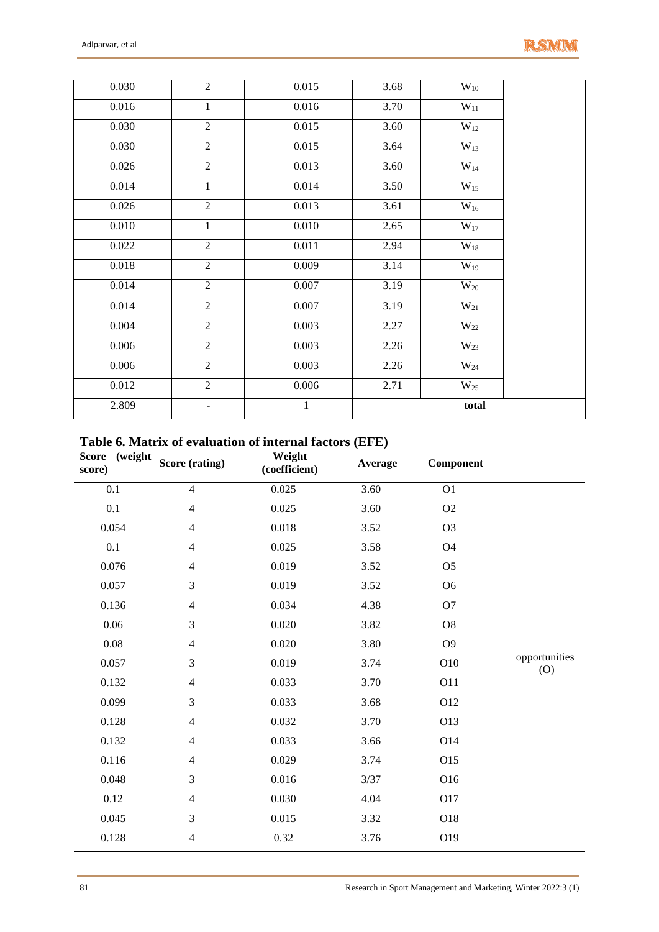| 0.030 | $\overline{2}$ | 0.015        | $\overline{3.68}$ | $\overline{W_{10}}$ |  |
|-------|----------------|--------------|-------------------|---------------------|--|
| 0.016 | $\mathbf{1}$   | 0.016        | 3.70              | $\overline{W_{11}}$ |  |
| 0.030 | $\overline{2}$ | 0.015        | 3.60              | $W_{12}$            |  |
| 0.030 | $\overline{2}$ | 0.015        | $\overline{3.64}$ | $\overline{W_{13}}$ |  |
| 0.026 | $\overline{2}$ | 0.013        | $\overline{3.60}$ | $W_{14}$            |  |
| 0.014 | $\mathbf{1}$   | 0.014        | $\overline{3.50}$ | $W_{15}$            |  |
| 0.026 | $\overline{2}$ | 0.013        | 3.61              | $W_{16}$            |  |
| 0.010 | $\mathbf{1}$   | $0.010\,$    | 2.65              | $W_{17}$            |  |
| 0.022 | $\overline{2}$ | 0.011        | 2.94              | $W_{18}$            |  |
| 0.018 | $\overline{2}$ | 0.009        | 3.14              | $W_{19}$            |  |
| 0.014 | $\overline{2}$ | 0.007        | 3.19              | $W_{20}$            |  |
| 0.014 | $\overline{2}$ | 0.007        | 3.19              | $W_{21}$            |  |
| 0.004 | $\overline{2}$ | 0.003        | 2.27              | $W_{22}$            |  |
| 0.006 | $\overline{2}$ | 0.003        | 2.26              | $W_{23}$            |  |
| 0.006 | $\overline{2}$ | 0.003        | 2.26              | $W_{24}$            |  |
| 0.012 | $\overline{2}$ | 0.006        | 2.71              | $W_{25}$            |  |
| 2.809 | $\blacksquare$ | $\mathbf{1}$ |                   | total               |  |

# **Table 6. Matrix of evaluation of internal factors (EFE)**

| $\overline{\text{weight}}$<br><b>Score</b><br>score) | Score (rating) | Weight<br>(coefficient) | Average | Component      |                      |
|------------------------------------------------------|----------------|-------------------------|---------|----------------|----------------------|
| 0.1                                                  | $\overline{4}$ | 0.025                   | 3.60    | O <sub>1</sub> |                      |
| 0.1                                                  | $\overline{4}$ | 0.025                   | 3.60    | O2             |                      |
| 0.054                                                | $\overline{4}$ | 0.018                   | 3.52    | O <sub>3</sub> |                      |
| 0.1                                                  | $\overline{4}$ | 0.025                   | 3.58    | <b>O4</b>      |                      |
| 0.076                                                | $\overline{4}$ | 0.019                   | 3.52    | O <sub>5</sub> |                      |
| 0.057                                                | 3              | 0.019                   | 3.52    | O <sub>6</sub> |                      |
| 0.136                                                | $\overline{4}$ | 0.034                   | 4.38    | O <sub>7</sub> |                      |
| 0.06                                                 | 3              | 0.020                   | 3.82    | O <sub>8</sub> |                      |
| $0.08\,$                                             | $\overline{4}$ | 0.020                   | 3.80    | O <sub>9</sub> |                      |
| 0.057                                                | 3              | 0.019                   | 3.74    | O10            | opportunities<br>(O) |
| 0.132                                                | $\overline{4}$ | 0.033                   | 3.70    | <b>O11</b>     |                      |
| 0.099                                                | 3              | 0.033                   | 3.68    | O12            |                      |
| 0.128                                                | $\overline{4}$ | 0.032                   | 3.70    | O13            |                      |
| 0.132                                                | $\overline{4}$ | 0.033                   | 3.66    | O14            |                      |
| 0.116                                                | $\overline{4}$ | 0.029                   | 3.74    | O15            |                      |
| 0.048                                                | 3              | 0.016                   | 3/37    | O16            |                      |
| 0.12                                                 | $\overline{4}$ | 0.030                   | 4.04    | O17            |                      |
| 0.045                                                | 3              | 0.015                   | 3.32    | O18            |                      |
| 0.128                                                | $\overline{4}$ | 0.32                    | 3.76    | O19            |                      |
|                                                      |                |                         |         |                |                      |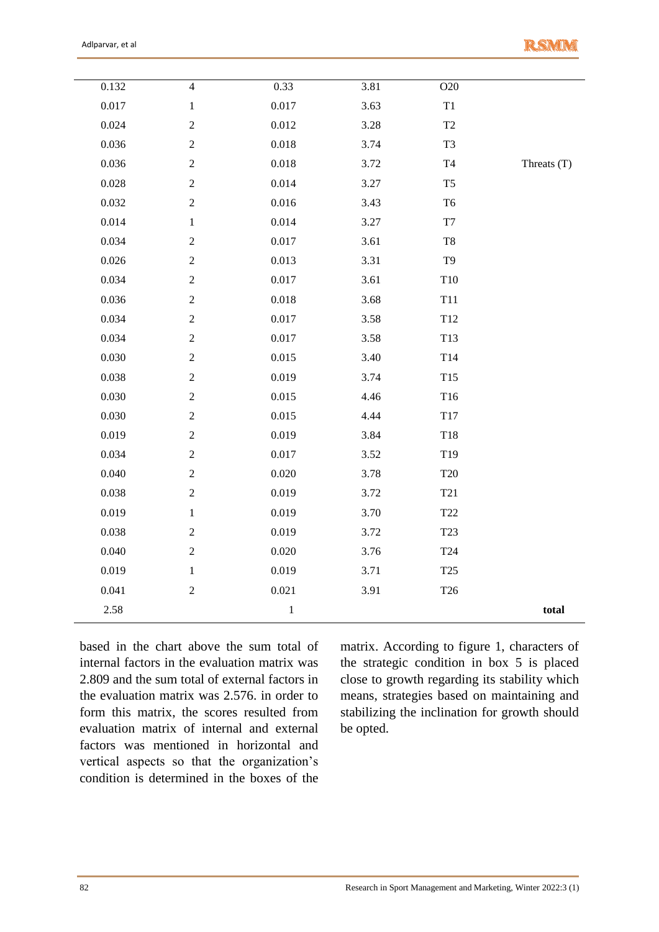|             | O20                  | 3.81 | 0.33      | $\overline{4}$   | 0.132 |
|-------------|----------------------|------|-----------|------------------|-------|
|             | $\mathbf{T}1$        | 3.63 | 0.017     | $\,1$            | 0.017 |
|             | $\operatorname{T2}$  | 3.28 | 0.012     | $\sqrt{2}$       | 0.024 |
|             | T <sub>3</sub>       | 3.74 | $0.018\,$ | $\overline{c}$   | 0.036 |
| Threats (T) | $\operatorname{T4}$  | 3.72 | $0.018\,$ | $\boldsymbol{2}$ | 0.036 |
|             | T <sub>5</sub>       | 3.27 | 0.014     | $\boldsymbol{2}$ | 0.028 |
|             | T <sub>6</sub>       | 3.43 | $0.016\,$ | $\boldsymbol{2}$ | 0.032 |
|             | $\rm{T}7$            | 3.27 | 0.014     | $\mathbf 1$      | 0.014 |
|             | $\rm{T}8$            | 3.61 | 0.017     | $\boldsymbol{2}$ | 0.034 |
|             | T <sub>9</sub>       | 3.31 | 0.013     | $\boldsymbol{2}$ | 0.026 |
|             | T10                  | 3.61 | 0.017     | $\sqrt{2}$       | 0.034 |
|             | T11                  | 3.68 | 0.018     | $\boldsymbol{2}$ | 0.036 |
|             | $\rm T12$            | 3.58 | 0.017     | $\sqrt{2}$       | 0.034 |
|             | T13                  | 3.58 | 0.017     | $\boldsymbol{2}$ | 0.034 |
|             | T14                  | 3.40 | 0.015     | $\sqrt{2}$       | 0.030 |
|             | T15                  | 3.74 | 0.019     | $\boldsymbol{2}$ | 0.038 |
|             | T16                  | 4.46 | 0.015     | $\boldsymbol{2}$ | 0.030 |
|             | T17                  | 4.44 | 0.015     | $\boldsymbol{2}$ | 0.030 |
|             | T18                  | 3.84 | 0.019     | $\sqrt{2}$       | 0.019 |
|             | T <sub>19</sub>      | 3.52 | 0.017     | $\overline{c}$   | 0.034 |
|             | T20                  | 3.78 | 0.020     | $\boldsymbol{2}$ | 0.040 |
|             | T <sub>21</sub>      | 3.72 | 0.019     | $\sqrt{2}$       | 0.038 |
|             | $\operatorname{T22}$ | 3.70 | 0.019     | $\mathbf{1}$     | 0.019 |
|             | T <sub>23</sub>      | 3.72 | 0.019     | $\sqrt{2}$       | 0.038 |
|             | T24                  | 3.76 | 0.020     | $\boldsymbol{2}$ | 0.040 |
|             | T25                  | 3.71 | 0.019     | $\,1$            | 0.019 |
|             | T <sub>26</sub>      | 3.91 | 0.021     | $\boldsymbol{2}$ | 0.041 |
| total       |                      |      | $\,1$     |                  | 2.58  |
|             |                      |      |           |                  |       |

based in the chart above the sum total of internal factors in the evaluation matrix was 2.809 and the sum total of external factors in the evaluation matrix was 2.576. in order to form this matrix, the scores resulted from evaluation matrix of internal and external factors was mentioned in horizontal and vertical aspects so that the organization's condition is determined in the boxes of the

matrix. According to figure 1, characters of the strategic condition in box 5 is placed close to growth regarding its stability which means, strategies based on maintaining and stabilizing the inclination for growth should be opted.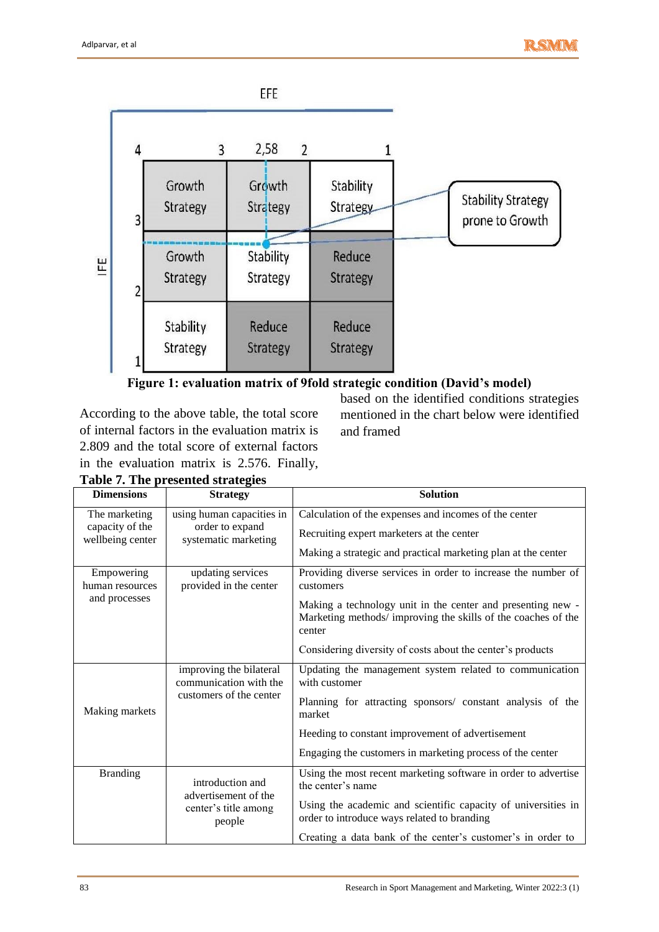



According to the above table, the total score of internal factors in the evaluation matrix is 2.809 and the total score of external factors in the evaluation matrix is 2.576. Finally, based on the identified conditions strategies mentioned in the chart below were identified and framed

| <b>Dimensions</b>                              | <b>Strategy</b>                                   | <b>Solution</b>                                                                                                                       |
|------------------------------------------------|---------------------------------------------------|---------------------------------------------------------------------------------------------------------------------------------------|
| The marketing                                  | using human capacities in                         | Calculation of the expenses and incomes of the center                                                                                 |
| capacity of the<br>wellbeing center            | order to expand<br>systematic marketing           | Recruiting expert marketers at the center                                                                                             |
|                                                |                                                   | Making a strategic and practical marketing plan at the center                                                                         |
| Empowering<br>human resources<br>and processes | updating services<br>provided in the center       | Providing diverse services in order to increase the number of<br>customers                                                            |
|                                                |                                                   | Making a technology unit in the center and presenting new -<br>Marketing methods/improving the skills of the coaches of the<br>center |
|                                                |                                                   | Considering diversity of costs about the center's products                                                                            |
| Making markets                                 | improving the bilateral<br>communication with the | Updating the management system related to communication<br>with customer                                                              |
|                                                | customers of the center                           | Planning for attracting sponsors/ constant analysis of the<br>market                                                                  |
|                                                |                                                   | Heeding to constant improvement of advertisement                                                                                      |
|                                                |                                                   | Engaging the customers in marketing process of the center                                                                             |
| <b>Branding</b>                                | introduction and<br>advertisement of the          | Using the most recent marketing software in order to advertise<br>the center's name                                                   |
|                                                | center's title among<br>people                    | Using the academic and scientific capacity of universities in<br>order to introduce ways related to branding                          |
|                                                |                                                   | Creating a data bank of the center's customer's in order to                                                                           |

**Table 7. The presented strategies**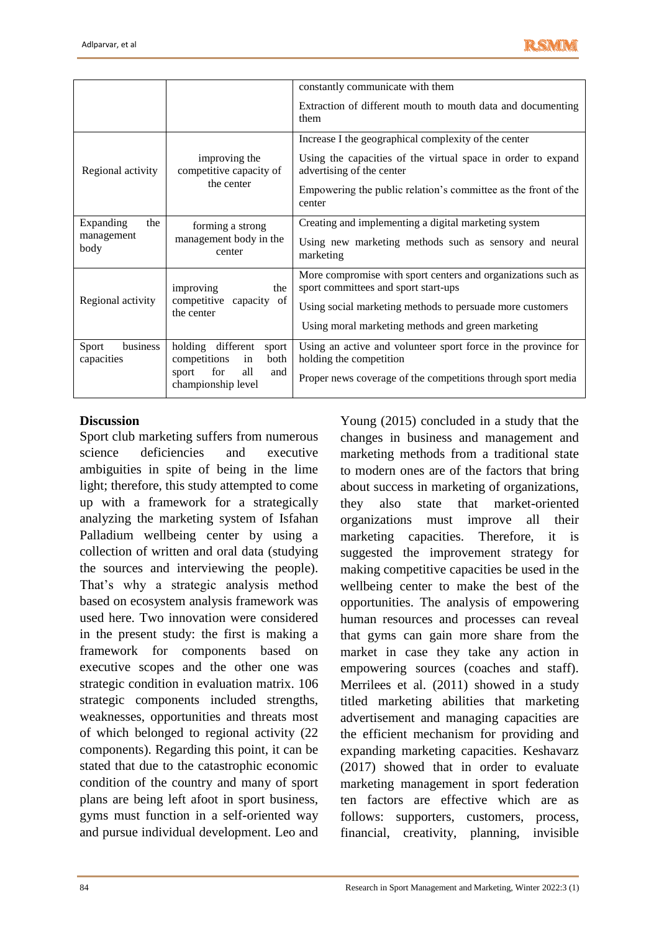

|                                        |                                                                                                              | constantly communicate with them<br>Extraction of different mouth to mouth data and documenting<br>them                                                                                                                       |
|----------------------------------------|--------------------------------------------------------------------------------------------------------------|-------------------------------------------------------------------------------------------------------------------------------------------------------------------------------------------------------------------------------|
| Regional activity                      | improving the<br>competitive capacity of<br>the center                                                       | Increase I the geographical complexity of the center<br>Using the capacities of the virtual space in order to expand<br>advertising of the center<br>Empowering the public relation's committee as the front of the<br>center |
| Expanding<br>the<br>management<br>body | forming a strong<br>management body in the<br>center                                                         | Creating and implementing a digital marketing system<br>Using new marketing methods such as sensory and neural<br>marketing                                                                                                   |
| Regional activity                      | improving<br>the<br>competitive capacity of<br>the center                                                    | More compromise with sport centers and organizations such as<br>sport committees and sport start-ups<br>Using social marketing methods to persuade more customers<br>Using moral marketing methods and green marketing        |
| business<br>Sport<br>capacities        | holding different<br>sport<br>competitions<br>both<br>in<br>for<br>all<br>sport<br>and<br>championship level | Using an active and volunteer sport force in the province for<br>holding the competition<br>Proper news coverage of the competitions through sport media                                                                      |

# **Discussion**

Sport club marketing suffers from numerous science deficiencies and executive ambiguities in spite of being in the lime light; therefore, this study attempted to come up with a framework for a strategically analyzing the marketing system of Isfahan Palladium wellbeing center by using a collection of written and oral data (studying the sources and interviewing the people). That's why a strategic analysis method based on ecosystem analysis framework was used here. Two innovation were considered in the present study: the first is making a framework for components based on executive scopes and the other one was strategic condition in evaluation matrix. 106 strategic components included strengths, weaknesses, opportunities and threats most of which belonged to regional activity (22 components). Regarding this point, it can be stated that due to the catastrophic economic condition of the country and many of sport plans are being left afoot in sport business, gyms must function in a self-oriented way and pursue individual development. Leo and

Young (2015) concluded in a study that the changes in business and management and marketing methods from a traditional state to modern ones are of the factors that bring about success in marketing of organizations, they also state that market-oriented organizations must improve all their marketing capacities. Therefore, it is suggested the improvement strategy for making competitive capacities be used in the wellbeing center to make the best of the opportunities. The analysis of empowering human resources and processes can reveal that gyms can gain more share from the market in case they take any action in empowering sources (coaches and staff). Merrilees et al. (2011) showed in a study titled marketing abilities that marketing advertisement and managing capacities are the efficient mechanism for providing and expanding marketing capacities. Keshavarz (2017) showed that in order to evaluate marketing management in sport federation ten factors are effective which are as follows: supporters, customers, process, financial, creativity, planning, invisible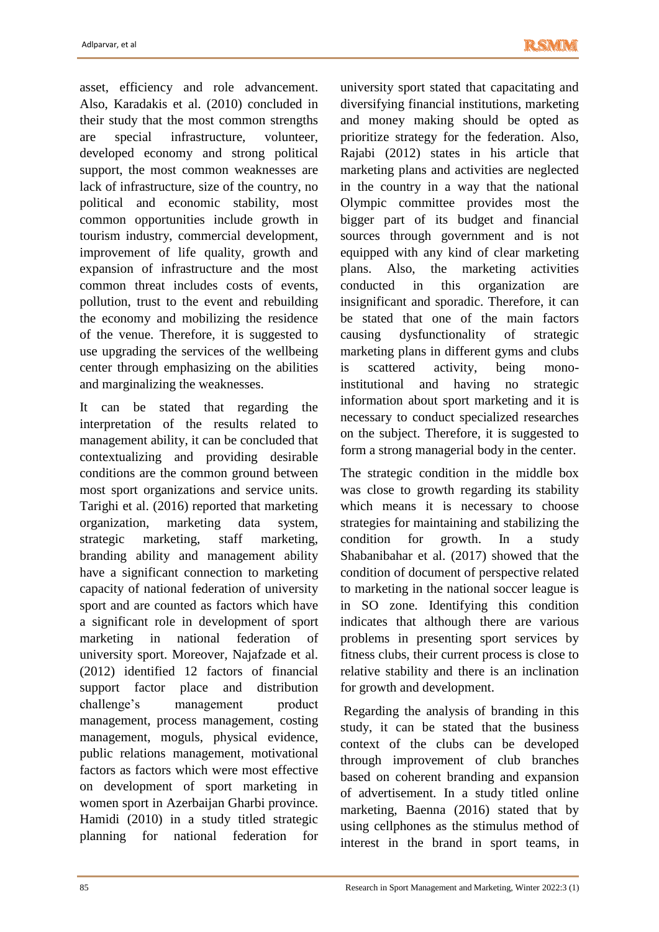asset, efficiency and role advancement. Also, Karadakis et al. (2010) concluded in their study that the most common strengths are special infrastructure, volunteer, developed economy and strong political support, the most common weaknesses are lack of infrastructure, size of the country, no political and economic stability, most common opportunities include growth in tourism industry, commercial development, improvement of life quality, growth and expansion of infrastructure and the most common threat includes costs of events, pollution, trust to the event and rebuilding the economy and mobilizing the residence of the venue. Therefore, it is suggested to use upgrading the services of the wellbeing center through emphasizing on the abilities and marginalizing the weaknesses.

It can be stated that regarding the interpretation of the results related to management ability, it can be concluded that contextualizing and providing desirable conditions are the common ground between most sport organizations and service units. Tarighi et al. (2016) reported that marketing organization, marketing data system, strategic marketing, staff marketing, branding ability and management ability have a significant connection to marketing capacity of national federation of university sport and are counted as factors which have a significant role in development of sport marketing in national federation of university sport. Moreover, Najafzade et al. (2012) identified 12 factors of financial support factor place and distribution challenge's management product management, process management, costing management, moguls, physical evidence, public relations management, motivational factors as factors which were most effective on development of sport marketing in women sport in Azerbaijan Gharbi province. Hamidi (2010) in a study titled strategic planning for national federation for

university sport stated that capacitating and diversifying financial institutions, marketing and money making should be opted as prioritize strategy for the federation. Also, Rajabi (2012) states in his article that marketing plans and activities are neglected in the country in a way that the national Olympic committee provides most the bigger part of its budget and financial sources through government and is not equipped with any kind of clear marketing plans. Also, the marketing activities conducted in this organization are insignificant and sporadic. Therefore, it can be stated that one of the main factors causing dysfunctionality of strategic marketing plans in different gyms and clubs is scattered activity, being monoinstitutional and having no strategic information about sport marketing and it is necessary to conduct specialized researches on the subject. Therefore, it is suggested to form a strong managerial body in the center.

The strategic condition in the middle box was close to growth regarding its stability which means it is necessary to choose strategies for maintaining and stabilizing the condition for growth. In a study Shabanibahar et al. (2017) showed that the condition of document of perspective related to marketing in the national soccer league is in SO zone. Identifying this condition indicates that although there are various problems in presenting sport services by fitness clubs, their current process is close to relative stability and there is an inclination for growth and development.

Regarding the analysis of branding in this study, it can be stated that the business context of the clubs can be developed through improvement of club branches based on coherent branding and expansion of advertisement. In a study titled online marketing, Baenna (2016) stated that by using cellphones as the stimulus method of interest in the brand in sport teams, in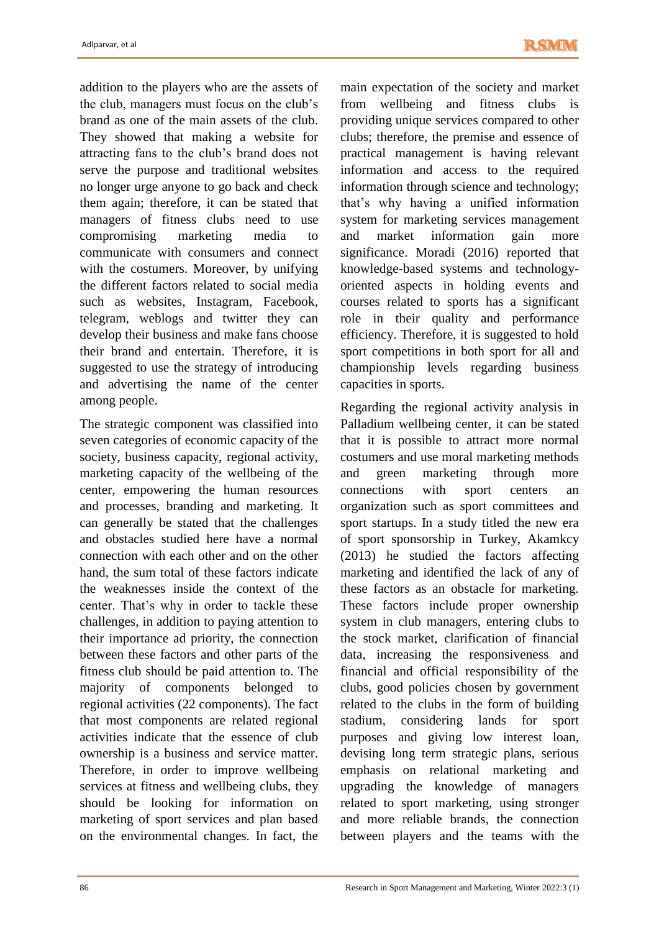addition to the players who are the assets of the club, managers must focus on the club's brand as one of the main assets of the club. They showed that making a website for attracting fans to the club's brand does not serve the purpose and traditional websites no longer urge anyone to go back and check them again; therefore, it can be stated that managers of fitness clubs need to use compromising marketing media to communicate with consumers and connect with the costumers. Moreover, by unifying the different factors related to social media such as websites, Instagram, Facebook, telegram, weblogs and twitter they can develop their business and make fans choose their brand and entertain. Therefore, it is suggested to use the strategy of introducing and advertising the name of the center among people.

The strategic component was classified into seven categories of economic capacity of the society, business capacity, regional activity, marketing capacity of the wellbeing of the center, empowering the human resources and processes, branding and marketing. It can generally be stated that the challenges and obstacles studied here have a normal connection with each other and on the other hand, the sum total of these factors indicate the weaknesses inside the context of the center. That's why in order to tackle these challenges, in addition to paying attention to their importance ad priority, the connection between these factors and other parts of the fitness club should be paid attention to. The majority of components belonged to regional activities (22 components). The fact that most components are related regional activities indicate that the essence of club ownership is a business and service matter. Therefore, in order to improve wellbeing services at fitness and wellbeing clubs, they should be looking for information on marketing of sport services and plan based on the environmental changes. In fact, the

main expectation of the society and market from wellbeing and fitness clubs is providing unique services compared to other clubs; therefore, the premise and essence of practical management is having relevant information and access to the required information through science and technology; that's why having a unified information system for marketing services management and market information gain more significance. Moradi (2016) reported that knowledge-based systems and technologyoriented aspects in holding events and courses related to sports has a significant role in their quality and performance efficiency. Therefore, it is suggested to hold sport competitions in both sport for all and championship levels regarding business capacities in sports.

Regarding the regional activity analysis in Palladium wellbeing center, it can be stated that it is possible to attract more normal costumers and use moral marketing methods and green marketing through more connections with sport centers an organization such as sport committees and sport startups. In a study titled the new era of sport sponsorship in Turkey, Akamkcy (2013) he studied the factors affecting marketing and identified the lack of any of these factors as an obstacle for marketing. These factors include proper ownership system in club managers, entering clubs to the stock market, clarification of financial data, increasing the responsiveness and financial and official responsibility of the clubs, good policies chosen by government related to the clubs in the form of building stadium, considering lands for sport purposes and giving low interest loan, devising long term strategic plans, serious emphasis on relational marketing and upgrading the knowledge of managers related to sport marketing, using stronger and more reliable brands, the connection between players and the teams with the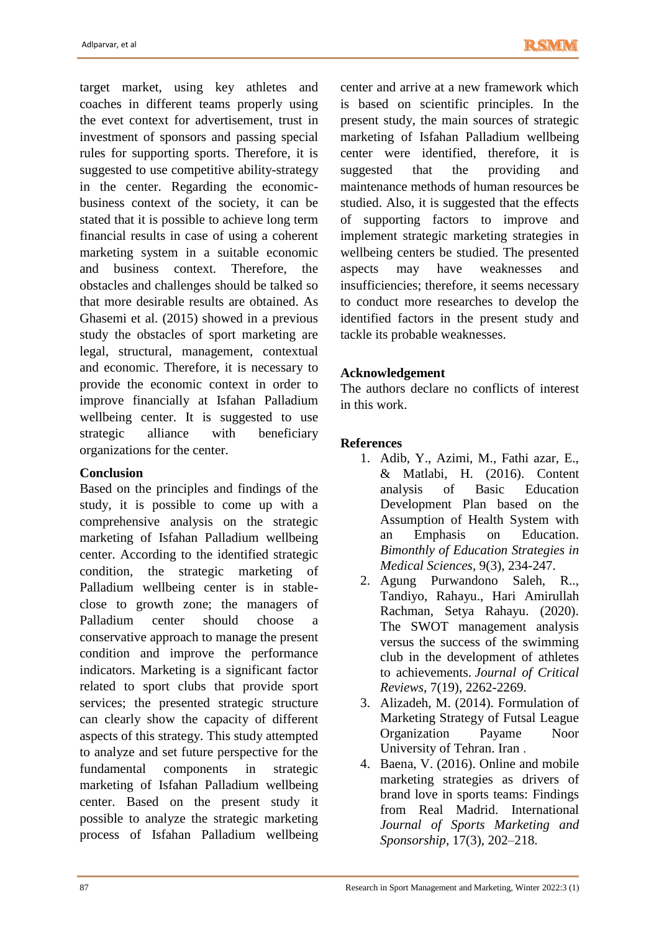target market, using key athletes and coaches in different teams properly using the evet context for advertisement, trust in investment of sponsors and passing special rules for supporting sports. Therefore, it is suggested to use competitive ability-strategy in the center. Regarding the economicbusiness context of the society, it can be stated that it is possible to achieve long term financial results in case of using a coherent marketing system in a suitable economic and business context. Therefore, the obstacles and challenges should be talked so that more desirable results are obtained. As Ghasemi et al. (2015) showed in a previous study the obstacles of sport marketing are legal, structural, management, contextual and economic. Therefore, it is necessary to provide the economic context in order to improve financially at Isfahan Palladium wellbeing center. It is suggested to use strategic alliance with beneficiary organizations for the center.

## **Conclusion**

Based on the principles and findings of the study, it is possible to come up with a comprehensive analysis on the strategic marketing of Isfahan Palladium wellbeing center. According to the identified strategic condition, the strategic marketing of Palladium wellbeing center is in stableclose to growth zone; the managers of Palladium center should choose a conservative approach to manage the present condition and improve the performance indicators. Marketing is a significant factor related to sport clubs that provide sport services; the presented strategic structure can clearly show the capacity of different aspects of this strategy. This study attempted to analyze and set future perspective for the fundamental components in strategic marketing of Isfahan Palladium wellbeing center. Based on the present study it possible to analyze the strategic marketing process of Isfahan Palladium wellbeing

center and arrive at a new framework which is based on scientific principles. In the present study, the main sources of strategic marketing of Isfahan Palladium wellbeing center were identified, therefore, it is suggested that the providing and maintenance methods of human resources be studied. Also, it is suggested that the effects of supporting factors to improve and implement strategic marketing strategies in wellbeing centers be studied. The presented aspects may have weaknesses and insufficiencies; therefore, it seems necessary to conduct more researches to develop the identified factors in the present study and tackle its probable weaknesses.

# **Acknowledgement**

The authors declare no conflicts of interest in this work.

# **References**

- 1. Adib, Y., Azimi, M., Fathi azar, E., & Matlabi, H. (2016). Content analysis of Basic Education Development Plan based on the Assumption of Health System with an Emphasis on Education. *Bimonthly of Education Strategies in Medical Sciences*, 9(3), 234-247.
- 2. Agung Purwandono Saleh, R.., Tandiyo, Rahayu., Hari Amirullah Rachman, Setya Rahayu. (2020). The SWOT management analysis versus the success of the swimming club in the development of athletes to achievements. *Journal of Critical Reviews*, 7(19), 2262-2269.
- 3. Alizadeh, M. (2014). Formulation of Marketing Strategy of Futsal League Organization Payame Noor University of Tehran. Iran .
- 4. Baena, V. (2016). Online and mobile marketing strategies as drivers of brand love in sports teams: Findings from Real Madrid. International *Journal of Sports Marketing and Sponsorship*, 17(3), 202–218.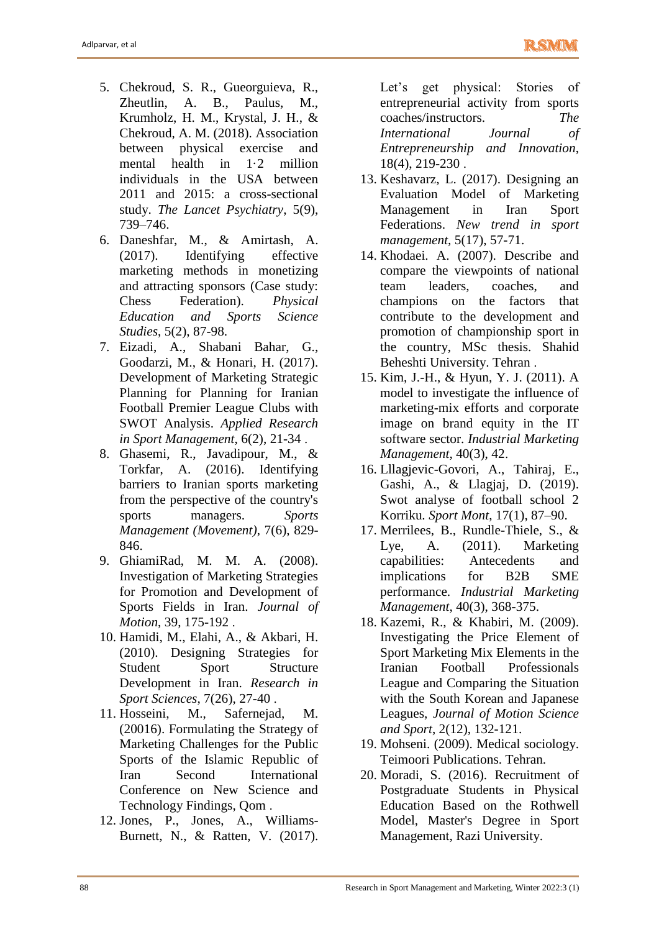- 5. Chekroud, S. R., Gueorguieva, R., Zheutlin, A. B., Paulus, M., Krumholz, H. M., Krystal, J. H., & Chekroud, A. M. (2018). Association between physical exercise and mental health in 1·2 million individuals in the USA between 2011 and 2015: a cross-sectional study. *The Lancet Psychiatry*, 5(9), 739–746.
- 6. Daneshfar, M., & Amirtash, A. (2017). Identifying effective marketing methods in monetizing and attracting sponsors (Case study: Chess Federation). *Physical Education and Sports Science Studies*, 5(2), 87-98.
- 7. Eizadi, A., Shabani Bahar, G., Goodarzi, M., & Honari, H. (2017). Development of Marketing Strategic Planning for Planning for Iranian Football Premier League Clubs with SWOT Analysis. *Applied Research in Sport Management*, 6(2), 21-34 .
- 8. Ghasemi, R., Javadipour, M., & Torkfar, A. (2016). Identifying barriers to Iranian sports marketing from the perspective of the country's sports managers. *Sports Management (Movement)*, 7(6), 829- 846.
- 9. GhiamiRad, M. M. A. (2008). Investigation of Marketing Strategies for Promotion and Development of Sports Fields in Iran. *Journal of Motion*, 39, 175-192 .
- 10. Hamidi, M., Elahi, A., & Akbari, H. (2010). Designing Strategies for Student Sport Structure Development in Iran. *Research in Sport Sciences*, 7(26), 27-40 .
- 11. Hosseini, M., Safernejad, M. (20016). Formulating the Strategy of Marketing Challenges for the Public Sports of the Islamic Republic of Iran Second International Conference on New Science and Technology Findings, Qom .
- 12. Jones, P., Jones, A., Williams-Burnett, N., & Ratten, V. (2017).

Let's get physical: Stories of entrepreneurial activity from sports coaches/instructors. *The International Journal of Entrepreneurship and Innovation*, 18(4), 219-230 .

- 13. Keshavarz, L. (2017). Designing an Evaluation Model of Marketing Management in Iran Sport Federations. *New trend in sport management,* 5(17), 57-71.
- 14. Khodaei. A. (2007). Describe and compare the viewpoints of national team leaders, coaches, and champions on the factors that contribute to the development and promotion of championship sport in the country, MSc thesis. Shahid Beheshti University. Tehran .
- 15. Kim, J.-H., & Hyun, Y. J. (2011). A model to investigate the influence of marketing-mix efforts and corporate image on brand equity in the IT software sector. *Industrial Marketing Management*, 40(3), 42.
- 16. Lllagjevic-Govori, A., Tahiraj, E., Gashi, A., & Llagjaj, D. (2019). Swot analyse of football school 2 Korriku*. Sport Mont*, 17(1), 87–90.
- 17. Merrilees, B., Rundle-Thiele, S., & Lye, A. (2011). Marketing capabilities: Antecedents and implications for B2B SME performance. *Industrial Marketing Management*, 40(3), 368-375.
- 18. Kazemi, R., & Khabiri, M. (2009). Investigating the Price Element of Sport Marketing Mix Elements in the Iranian Football Professionals League and Comparing the Situation with the South Korean and Japanese Leagues, *Journal of Motion Science and Sport*, 2(12), 132-121.
- 19. Mohseni. (2009). Medical sociology. Teimoori Publications. Tehran.
- 20. Moradi, S. (2016). Recruitment of Postgraduate Students in Physical Education Based on the Rothwell Model, Master's Degree in Sport Management, Razi University.